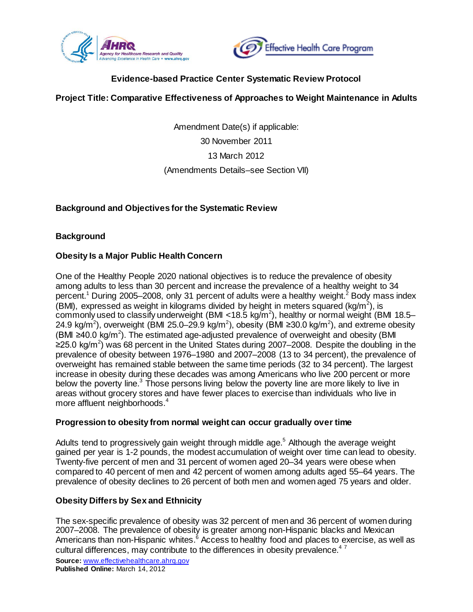



# **Evidence-based Practice Center Systematic Review Protocol**

**Project Title: Comparative Effectiveness of Approaches to Weight Maintenance in Adults**

Amendment Date(s) if applicable: 30 November 2011 13 March 2012 (Amendments Details–see Section VII)

## **Background and Objectives for the Systematic Review**

## **Background**

### **Obesity Is a Major Public Health Concern**

One of the Healthy People 2020 national objectives is to reduce the prevalence of obesity among adults to less than 30 percent and increase the prevalence of a healthy weight to 34 percent.<sup>1</sup> During 2005–2008, only 31 percent of adults were a healthy weight.<sup>2</sup> Body mass index (BMI), expressed as weight in kilograms divided by height in meters squared (kg/m<sup>2</sup>), is commonly used to classify underweight (BMI <18.5 kg/m<sup>2</sup>), healthy or normal weight (BMI 18.5– 24.9 kg/m<sup>2</sup>), overweight (BMI 25.0–29.9 kg/m<sup>2</sup>), obesity (BMI ≥30.0 kg/m<sup>2</sup>), and extreme obesity (BMI ≥40.0 kg/m<sup>2</sup>). The estimated age-adjusted prevalence of overweight and obesity (BMI ≥25.0 kg/m<sup>2</sup>) was 68 percent in the United States during 2007–2008. Despite the doubling in the prevalence of obesity between 1976–1980 and 2007–2008 (13 to 34 percent), the prevalence of overweight has remained stable between the same time periods (32 to 34 percent). The largest increase in obesity during these decades was among Americans who live 200 percent or more below the poverty line.<sup>3</sup> Those persons living below the poverty line are more likely to live in areas without grocery stores and have fewer places to exercise than individuals who live in more affluent neighborhoods.<sup>4</sup>

### **Progression to obesity from normal weight can occur gradually over time**

Adults tend to progressively gain weight through middle age. <sup>5</sup> Although the average weight gained per year is 1-2 pounds, the modest accumulation of weight over time can lead to obesity. Twenty-five percent of men and 31 percent of women aged 20–34 years were obese when compared to 40 percent of men and 42 percent of women among adults aged 55–64 years. The prevalence of obesity declines to 26 percent of both men and women aged 75 years and older.

### **Obesity Differs by Sex and Ethnicity**

The sex-specific prevalence of obesity was 32 percent of men and 36 percent of women during 2007–2008. The prevalence of obesity is greater among non-Hispanic blacks and Mexican Americans than non-Hispanic whites.<sup>6</sup> Access to healthy food and places to exercise, as well as cultural differences, may contribute to the differences in obesity prevalence.<sup>47</sup>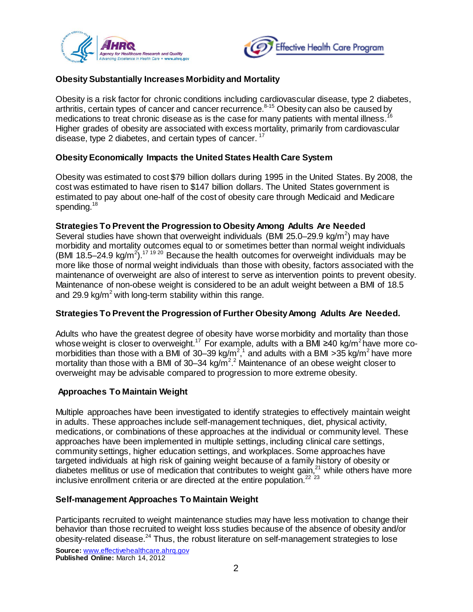



## **Obesity Substantially Increases Morbidity and Mortality**

Obesity is a risk factor for chronic conditions including cardiovascular disease, type 2 diabetes, arthritis, certain types of cancer and cancer recurrence. 8-15 Obesity can also be caused by medications to treat chronic disease as is the case for many patients with mental illness.<sup>16</sup> Higher grades of obesity are associated with excess mortality, primarily from cardiovascular disease, type 2 diabetes, and certain types of cancer.<sup>17</sup>

## **Obesity Economically Impacts the United States Health Care System**

Obesity was estimated to cost \$79 billion dollars during 1995 in the United States. By 2008, the cost was estimated to have risen to \$147 billion dollars. The United States government is estimated to pay about one-half of the cost of obesity care through Medicaid and Medicare spending. $^\mathrm{18}$ 

### **Strategies To Prevent the Progression to Obesity Among Adults Are Needed**

Several studies have shown that overweight individuals (BMI 25.0–29.9 kg/m<sup>2</sup>) may have morbidity and mortality outcomes equal to or sometimes better than normal weight individuals (BMI 18.5–24.9 kg/m<sup>2</sup>).<sup>17 19 20</sup> Because the health outcomes for overweight individuals may be more like those of normal weight individuals than those with obesity, factors associated with the maintenance of overweight are also of interest to serve as intervention points to prevent obesity. Maintenance of non-obese weight is considered to be an adult weight between a BMI of 18.5 and 29.9 kg/ $m^2$  with long-term stability within this range.

### **Strategies To Prevent the Progression of Further Obesity Among Adults Are Needed.**

Adults who have the greatest degree of obesity have worse morbidity and mortality than those whose weight is closer to overweight.<sup>17</sup> For example, adults with a BMI ≥40 kg/m<sup>2</sup> have more comorbidities than those with a BMI of 30–39 kg/m<sup>2 $,1$ </sup> and adults with a BMI >35 kg/m<sup>2</sup> have more mortality than those with a BMI of 30–34 kg/m<sup>2 $,2$ </sup> Maintenance of an obese weight closer to overweight may be advisable compared to progression to more extreme obesity.

### **Approaches To Maintain Weight**

Multiple approaches have been investigated to identify strategies to effectively maintain weight in adults. These approaches include self-management techniques, diet, physical activity, medications, or combinations of these approaches at the individual or community level. These approaches have been implemented in multiple settings, including clinical care settings, community settings, higher education settings, and workplaces. Some approaches have targeted individuals at high risk of gaining weight because of a family history of obesity or diabetes mellitus or use of medication that contributes to weight gain, $^{21}$  while others have more inclusive enrollment criteria or are directed at the entire population.<sup>22</sup><sup>23</sup>

### **Self-management Approaches To Maintain Weight**

Participants recruited to weight maintenance studies may have less motivation to change their behavior than those recruited to weight loss studies because of the absence of obesity and/or obesity-related disease.<sup>24</sup> Thus, the robust literature on self-management strategies to lose

**Source:** [www.effectivehealthcare.ahrq.gov](http://www.effectivehealthcare.ahrq.gov/) **Published Online:** March 14, 2012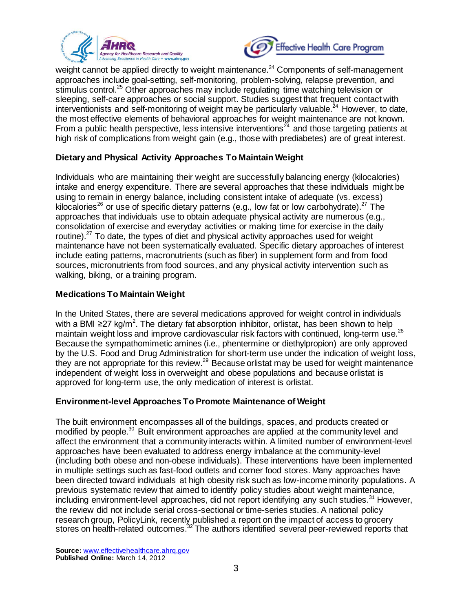



weight cannot be applied directly to weight maintenance.<sup>24</sup> Components of self-management approaches include goal-setting, self-monitoring, problem-solving, relapse prevention, and stimulus control.<sup>25</sup> Other approaches may include regulating time watching television or sleeping, self-care approaches or social support. Studies suggest that frequent contact with interventionists and self-monitoring of weight may be particularly valuable.<sup>24</sup> However, to date, the most effective elements of behavioral approaches for weight maintenance are not known. From a public health perspective, less intensive interventions<sup> $\tilde{z}^4$ </sup> and those targeting patients at high risk of complications from weight gain (e.g., those with prediabetes) are of great interest.

## **Dietary and Physical Activity Approaches To Maintain Weight**

Individuals who are maintaining their weight are successfully balancing energy (kilocalories) intake and energy expenditure. There are several approaches that these individuals might be using to remain in energy balance, including consistent intake of adequate (vs. excess) kilocalories<sup>26</sup> or use of specific dietary patterns (e.g., low fat or low carbohydrate).<sup>27</sup> The approaches that individuals use to obtain adequate physical activity are numerous (e.g., consolidation of exercise and everyday activities or making time for exercise in the daily routine).<sup>27</sup> To date, the types of diet and physical activity approaches used for weight maintenance have not been systematically evaluated. Specific dietary approaches of interest include eating patterns, macronutrients (such as fiber) in supplement form and from food sources, micronutrients from food sources, and any physical activity intervention such as walking, biking, or a training program.

## **Medications To Maintain Weight**

In the United States, there are several medications approved for weight control in individuals with a BMI ≥27 kg/m<sup>2</sup>. The dietary fat absorption inhibitor, orlistat, has been shown to help maintain weight loss and improve cardiovascular risk factors with continued, long-term use.<sup>28</sup> Because the sympathomimetic amines (i.e., phentermine or diethylpropion) are only approved by the U.S. Food and Drug Administration for short-term use under the indication of weight loss, they are not appropriate for this review.<sup>29</sup> Because orlistat may be used for weight maintenance independent of weight loss in overweight and obese populations and because orlistat is approved for long-term use, the only medication of interest is orlistat.

### **Environment-level Approaches To Promote Maintenance of Weight**

The built environment encompasses all of the buildings, spaces, and products created or modified by people.<sup>30</sup> Built environment approaches are applied at the community level and affect the environment that a community interacts within. A limited number of environment-level approaches have been evaluated to address energy imbalance at the community-level (including both obese and non-obese individuals). These interventions have been implemented in multiple settings such as fast-food outlets and corner food stores. Many approaches have been directed toward individuals at high obesity risk such as low-income minority populations. A previous systematic review that aimed to identify policy studies about weight maintenance, including environment-level approaches, did not report identifying any such studies.<sup>31</sup> However, the review did not include serial cross-sectional or time-series studies. A national policy research group, PolicyLink, recently published a report on the impact of access to grocery stores on health-related outcomes.<sup>32</sup> The authors identified several peer-reviewed reports that

**Source:** [www.effectivehealthcare.ahrq.gov](http://www.effectivehealthcare.ahrq.gov/) **Published Online:** March 14, 2012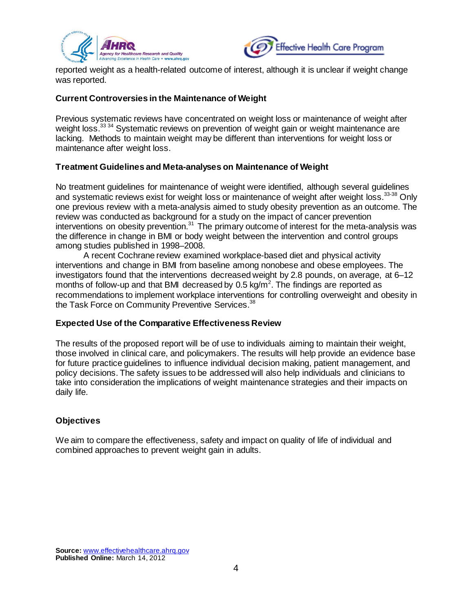



reported weight as a health-related outcome of interest, although it is unclear if weight change was reported.

### **Current Controversies in the Maintenance of Weight**

Previous systematic reviews have concentrated on weight loss or maintenance of weight after weight loss.<sup>33 34</sup> Systematic reviews on prevention of weight gain or weight maintenance are lacking. Methods to maintain weight may be different than interventions for weight loss or maintenance after weight loss.

#### **Treatment Guidelines and Meta-analyses on Maintenance of Weight**

No treatment guidelines for maintenance of weight were identified, although several guidelines and systematic reviews exist for weight loss or maintenance of weight after weight loss.<sup>33-38</sup> Only one previous review with a meta-analysis aimed to study obesity prevention as an outcome. The review was conducted as background for a study on the impact of cancer prevention interventions on obesity prevention.<sup>31</sup> The primary outcome of interest for the meta-analysis was the difference in change in BMI or body weight between the intervention and control groups among studies published in 1998–2008.

A recent Cochrane review examined workplace-based diet and physical activity interventions and change in BMI from baseline among nonobese and obese employees. The investigators found that the interventions decreased weight by 2.8 pounds, on average, at 6–12 months of follow-up and that BMI decreased by 0.5 kg/ $m^2$ . The findings are reported as recommendations to implement workplace interventions for controlling overweight and obesity in the Task Force on Community Preventive Services.<sup>38</sup>

### **Expected Use of the Comparative Effectiveness Review**

The results of the proposed report will be of use to individuals aiming to maintain their weight, those involved in clinical care, and policymakers. The results will help provide an evidence base for future practice guidelines to influence individual decision making, patient management, and policy decisions. The safety issues to be addressed will also help individuals and clinicians to take into consideration the implications of weight maintenance strategies and their impacts on daily life.

### **Objectives**

We aim to compare the effectiveness, safety and impact on quality of life of individual and combined approaches to prevent weight gain in adults.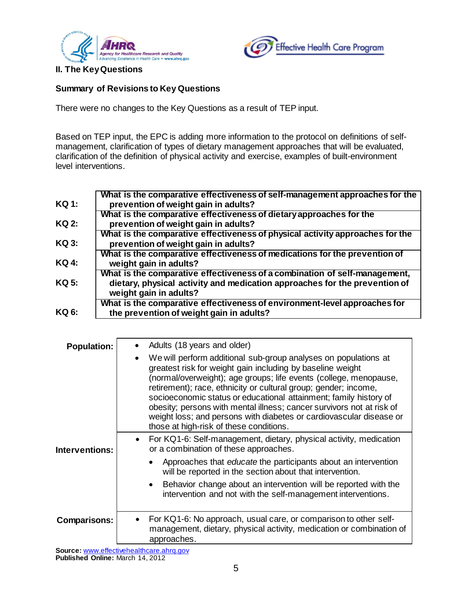



#### **II. The Key Questions**

#### **Summary of Revisions to Key Questions**

There were no changes to the Key Questions as a result of TEP input.

Based on TEP input, the EPC is adding more information to the protocol on definitions of selfmanagement, clarification of types of dietary management approaches that will be evaluated, clarification of the definition of physical activity and exercise, examples of built-environment level interventions.

|              | What is the comparative effectiveness of self-management approaches for the                                                                                                        |
|--------------|------------------------------------------------------------------------------------------------------------------------------------------------------------------------------------|
| <b>KQ1:</b>  | prevention of weight gain in adults?                                                                                                                                               |
|              | What is the comparative effectiveness of dietary approaches for the                                                                                                                |
| KQ 2:        | prevention of weight gain in adults?                                                                                                                                               |
| KQ 3:        | What is the comparative effectiveness of physical activity approaches for the<br>prevention of weight gain in adults?                                                              |
|              | What is the comparative effectiveness of medications for the prevention of                                                                                                         |
| <b>KQ 4:</b> | weight gain in adults?                                                                                                                                                             |
| KQ 5:        | What is the comparative effectiveness of a combination of self-management,<br>dietary, physical activity and medication approaches for the prevention of<br>weight gain in adults? |
| KQ 6:        | What is the comparative effectiveness of environment-level approaches for<br>the prevention of weight gain in adults?                                                              |

| <b>Population:</b>    | Adults (18 years and older)                                                                                                                                                                                                                                                                                                                                                                                                                                                                                                           |
|-----------------------|---------------------------------------------------------------------------------------------------------------------------------------------------------------------------------------------------------------------------------------------------------------------------------------------------------------------------------------------------------------------------------------------------------------------------------------------------------------------------------------------------------------------------------------|
|                       | We will perform additional sub-group analyses on populations at<br>greatest risk for weight gain including by baseline weight<br>(normal/overweight); age groups; life events (college, menopause,<br>retirement); race, ethnicity or cultural group; gender; income,<br>socioeconomic status or educational attainment; family history of<br>obesity; persons with mental illness; cancer survivors not at risk of<br>weight loss; and persons with diabetes or cardiovascular disease or<br>those at high-risk of these conditions. |
| <b>Interventions:</b> | • For KQ1-6: Self-management, dietary, physical activity, medication<br>or a combination of these approaches.                                                                                                                                                                                                                                                                                                                                                                                                                         |
|                       | Approaches that educate the participants about an intervention<br>will be reported in the section about that intervention.                                                                                                                                                                                                                                                                                                                                                                                                            |
|                       | Behavior change about an intervention will be reported with the<br>intervention and not with the self-management interventions.                                                                                                                                                                                                                                                                                                                                                                                                       |
| Comparisons:          | For KQ1-6: No approach, usual care, or comparison to other self-<br>management, dietary, physical activity, medication or combination of<br>approaches.                                                                                                                                                                                                                                                                                                                                                                               |

Source: [www.effectivehealthcare.ahrq.gov](http://www.effectivehealthcare.ahrq.gov/) **Published Online:** March 14, 2012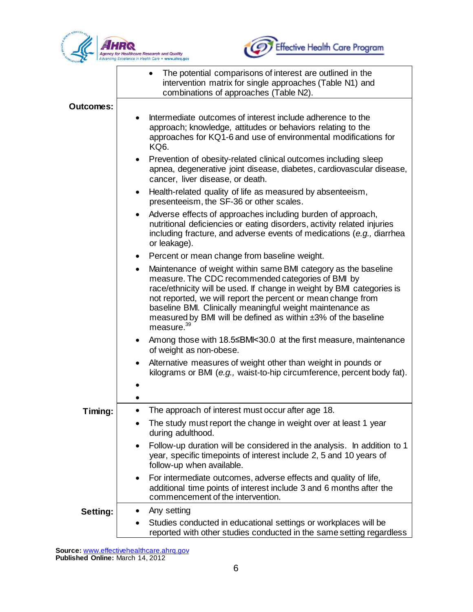



|                  | The potential comparisons of interest are outlined in the<br>intervention matrix for single approaches (Table N1) and<br>combinations of approaches (Table N2).                                                                                                                                                                                                                                                                                                                                                                                                                                                                                                                                                                                                                                                                                                                                                                                                                       |  |  |  |  |  |
|------------------|---------------------------------------------------------------------------------------------------------------------------------------------------------------------------------------------------------------------------------------------------------------------------------------------------------------------------------------------------------------------------------------------------------------------------------------------------------------------------------------------------------------------------------------------------------------------------------------------------------------------------------------------------------------------------------------------------------------------------------------------------------------------------------------------------------------------------------------------------------------------------------------------------------------------------------------------------------------------------------------|--|--|--|--|--|
| <b>Outcomes:</b> | Intermediate outcomes of interest include adherence to the<br>approach; knowledge, attitudes or behaviors relating to the<br>approaches for KQ1-6 and use of environmental modifications for<br>KQ <sub>6</sub> .<br>Prevention of obesity-related clinical outcomes including sleep<br>$\bullet$<br>apnea, degenerative joint disease, diabetes, cardiovascular disease,<br>cancer, liver disease, or death.<br>Health-related quality of life as measured by absenteeism,<br>$\bullet$<br>presenteeism, the SF-36 or other scales.<br>Adverse effects of approaches including burden of approach,<br>$\bullet$<br>nutritional deficiencies or eating disorders, activity related injuries<br>including fracture, and adverse events of medications (e.g., diarrhea<br>or leakage).<br>Percent or mean change from baseline weight.<br>$\bullet$<br>Maintenance of weight within same BMI category as the baseline<br>$\bullet$<br>measure. The CDC recommended categories of BMI by |  |  |  |  |  |
|                  | race/ethnicity will be used. If change in weight by BMI categories is<br>not reported, we will report the percent or mean change from<br>baseline BMI. Clinically meaningful weight maintenance as<br>measured by BMI will be defined as within ±3% of the baseline<br>measure. <sup>39</sup><br>Among those with 18.5≤BMl<30.0 at the first measure, maintenance<br>$\bullet$                                                                                                                                                                                                                                                                                                                                                                                                                                                                                                                                                                                                        |  |  |  |  |  |
|                  | of weight as non-obese.<br>Alternative measures of weight other than weight in pounds or<br>$\bullet$<br>kilograms or BMI (e.g., waist-to-hip circumference, percent body fat).                                                                                                                                                                                                                                                                                                                                                                                                                                                                                                                                                                                                                                                                                                                                                                                                       |  |  |  |  |  |
| Timing:          | The approach of interest must occur after age 18.                                                                                                                                                                                                                                                                                                                                                                                                                                                                                                                                                                                                                                                                                                                                                                                                                                                                                                                                     |  |  |  |  |  |
|                  | The study must report the change in weight over at least 1 year<br>during adulthood.                                                                                                                                                                                                                                                                                                                                                                                                                                                                                                                                                                                                                                                                                                                                                                                                                                                                                                  |  |  |  |  |  |
|                  | Follow-up duration will be considered in the analysis. In addition to 1<br>$\bullet$<br>year, specific timepoints of interest include 2, 5 and 10 years of<br>follow-up when available.                                                                                                                                                                                                                                                                                                                                                                                                                                                                                                                                                                                                                                                                                                                                                                                               |  |  |  |  |  |
|                  | For intermediate outcomes, adverse effects and quality of life,<br>$\bullet$<br>additional time points of interest include 3 and 6 months after the<br>commencement of the intervention.                                                                                                                                                                                                                                                                                                                                                                                                                                                                                                                                                                                                                                                                                                                                                                                              |  |  |  |  |  |
| Setting:         | Any setting                                                                                                                                                                                                                                                                                                                                                                                                                                                                                                                                                                                                                                                                                                                                                                                                                                                                                                                                                                           |  |  |  |  |  |
|                  | Studies conducted in educational settings or workplaces will be<br>reported with other studies conducted in the same setting regardless                                                                                                                                                                                                                                                                                                                                                                                                                                                                                                                                                                                                                                                                                                                                                                                                                                               |  |  |  |  |  |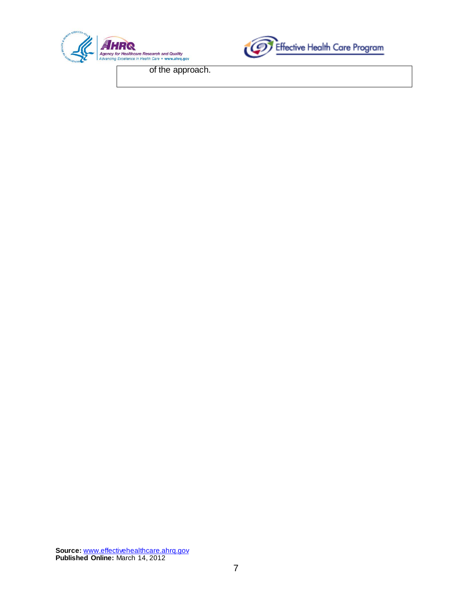



**Source:** [www.effectivehealthcare.ahrq.gov](http://www.effectivehealthcare.ahrq.gov/) **Published Online:** March 14, 2012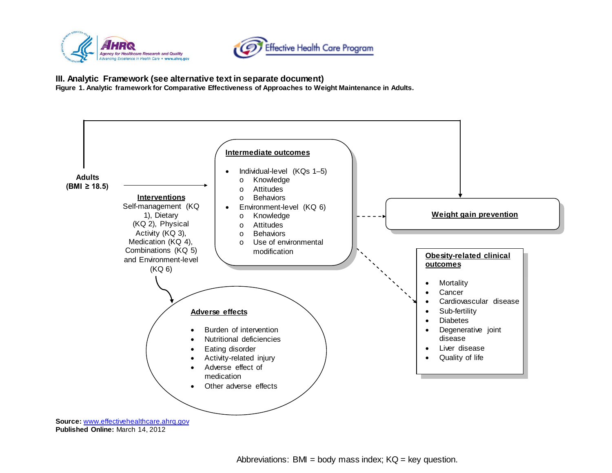

#### **III. Analytic Framework (see alternative text in separate document)**

**Figure 1. Analytic framework for Comparative Effectiveness of Approaches to Weight Maintenance in Adults.** 



**Published Online:** March 14, 2012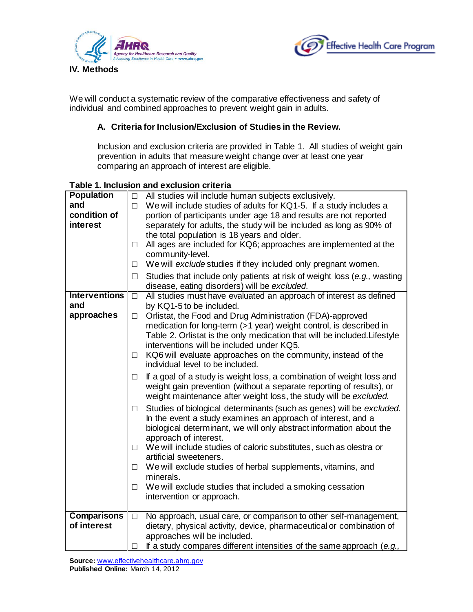



We will conduct a systematic review of the comparative effectiveness and safety of individual and combined approaches to prevent weight gain in adults.

## **A. Criteria for Inclusion/Exclusion of Studies in the Review.**

Inclusion and exclusion criteria are provided in Table 1. All studies of weight gain prevention in adults that measure weight change over at least one year comparing an approach of interest are eligible.

|                      | Table 1. Iliciusioni and exclusion criteria                                        |  |  |  |
|----------------------|------------------------------------------------------------------------------------|--|--|--|
| <b>Population</b>    | All studies will include human subjects exclusively.<br>$\Box$                     |  |  |  |
| and                  | We will include studies of adults for KQ1-5. If a study includes a<br>П            |  |  |  |
| condition of         | portion of participants under age 18 and results are not reported                  |  |  |  |
| interest             | separately for adults, the study will be included as long as 90% of                |  |  |  |
|                      | the total population is 18 years and older.                                        |  |  |  |
|                      | All ages are included for KQ6; approaches are implemented at the<br>П              |  |  |  |
|                      | community-level.                                                                   |  |  |  |
|                      | We will exclude studies if they included only pregnant women.                      |  |  |  |
|                      | $\Box$                                                                             |  |  |  |
|                      | Studies that include only patients at risk of weight loss (e.g., wasting<br>$\Box$ |  |  |  |
|                      | disease, eating disorders) will be excluded.                                       |  |  |  |
| <b>Interventions</b> | All studies must have evaluated an approach of interest as defined<br>$\Box$       |  |  |  |
| and                  | by KQ1-5 to be included.                                                           |  |  |  |
| approaches           | Orlistat, the Food and Drug Administration (FDA)-approved<br>П.                    |  |  |  |
|                      | medication for long-term (>1 year) weight control, is described in                 |  |  |  |
|                      | Table 2. Orlistat is the only medication that will be included. Lifestyle          |  |  |  |
|                      | interventions will be included under KQ5.                                          |  |  |  |
|                      | KQ6 will evaluate approaches on the community, instead of the<br>$\Box$            |  |  |  |
|                      | individual level to be included.                                                   |  |  |  |
|                      |                                                                                    |  |  |  |
|                      | If a goal of a study is weight loss, a combination of weight loss and<br>П         |  |  |  |
|                      | weight gain prevention (without a separate reporting of results), or               |  |  |  |
|                      | weight maintenance after weight loss, the study will be excluded.                  |  |  |  |
|                      | Studies of biological determinants (such as genes) will be excluded.<br>$\Box$     |  |  |  |
|                      | In the event a study examines an approach of interest, and a                       |  |  |  |
|                      | biological determinant, we will only abstract information about the                |  |  |  |
|                      | approach of interest.                                                              |  |  |  |
|                      | We will include studies of caloric substitutes, such as olestra or<br>П            |  |  |  |
|                      | artificial sweeteners.                                                             |  |  |  |
|                      | We will exclude studies of herbal supplements, vitamins, and<br>$\Box$             |  |  |  |
|                      | minerals.                                                                          |  |  |  |
|                      | We will exclude studies that included a smoking cessation<br>П                     |  |  |  |
|                      | intervention or approach.                                                          |  |  |  |
|                      |                                                                                    |  |  |  |
| <b>Comparisons</b>   | No approach, usual care, or comparison to other self-management,<br>$\Box$         |  |  |  |
| of interest          | dietary, physical activity, device, pharmaceutical or combination of               |  |  |  |
|                      | approaches will be included.                                                       |  |  |  |
|                      | If a study compares different intensities of the same approach (e.g.,              |  |  |  |
|                      |                                                                                    |  |  |  |

#### **Table 1. Inclusion and exclusion criteria**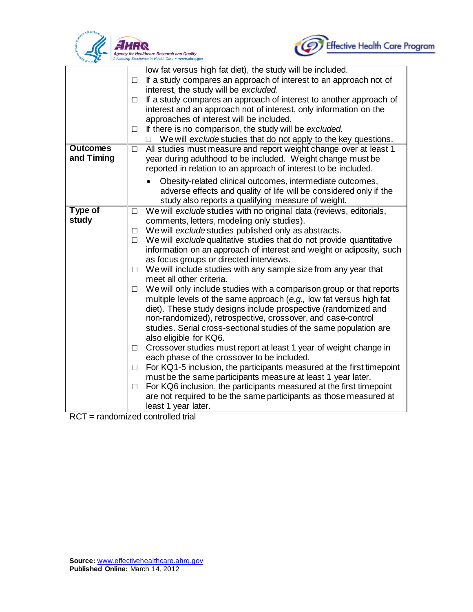



|                 | low fat versus high fat diet), the study will be included.                                       |
|-----------------|--------------------------------------------------------------------------------------------------|
|                 | If a study compares an approach of interest to an approach not of<br>$\Box$                      |
|                 | interest, the study will be excluded.                                                            |
|                 | If a study compares an approach of interest to another approach of<br>$\Box$                     |
|                 | interest and an approach not of interest, only information on the                                |
|                 | approaches of interest will be included.                                                         |
|                 | If there is no comparison, the study will be excluded.<br>П                                      |
|                 | We will exclude studies that do not apply to the key questions.                                  |
| <b>Outcomes</b> | All studies must measure and report weight change over at least 1<br>$\Box$                      |
| and Timing      | year during adulthood to be included. Weight change must be                                      |
|                 | reported in relation to an approach of interest to be included.                                  |
|                 | Obesity-related clinical outcomes, intermediate outcomes,                                        |
|                 | adverse effects and quality of life will be considered only if the                               |
|                 | study also reports a qualifying measure of weight.                                               |
| Type of         | We will exclude studies with no original data (reviews, editorials,<br>$\Box$                    |
| study           | comments, letters, modeling only studies).                                                       |
|                 | We will exclude studies published only as abstracts.<br>$\Box$                                   |
|                 | We will exclude qualitative studies that do not provide quantitative<br>$\Box$                   |
|                 | information on an approach of interest and weight or adiposity, such                             |
|                 | as focus groups or directed interviews.                                                          |
|                 | We will include studies with any sample size from any year that<br>□<br>meet all other criteria. |
|                 | We will only include studies with a comparison group or that reports<br>$\Box$                   |
|                 | multiple levels of the same approach (e.g., low fat versus high fat                              |
|                 | diet). These study designs include prospective (randomized and                                   |
|                 | non-randomized), retrospective, crossover, and case-control                                      |
|                 | studies. Serial cross-sectional studies of the same population are                               |
|                 | also eligible for KQ6.                                                                           |
|                 | Crossover studies must report at least 1 year of weight change in<br>$\Box$                      |
|                 | each phase of the crossover to be included.                                                      |
|                 | For KQ1-5 inclusion, the participants measured at the first timepoint<br>$\Box$                  |
|                 | must be the same participants measure at least 1 year later.                                     |
|                 | For KQ6 inclusion, the participants measured at the first timepoint<br>$\Box$                    |
|                 | are not required to be the same participants as those measured at                                |
|                 | least 1 year later.                                                                              |

RCT = randomized controlled trial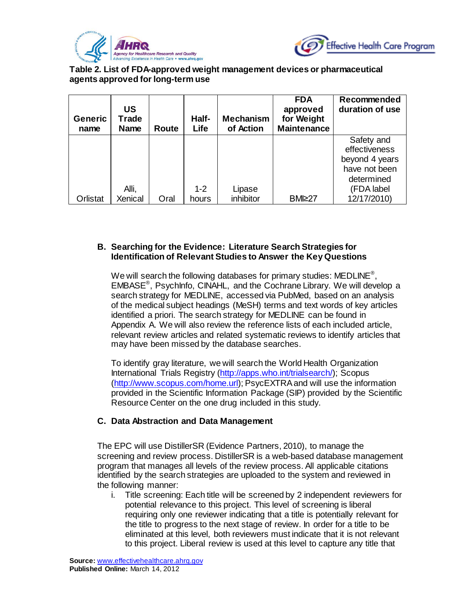



### **Table 2. List of FDA-approved weight management devices or pharmaceutical agents approved for long-term use**

| <b>Generic</b><br>name | <b>US</b><br>Trade<br><b>Name</b> | Route | Half-<br>Life    | <b>Mechanism</b><br>of Action | <b>FDA</b><br>approved<br>for Weight<br><b>Maintenance</b> | Recommended<br>duration of use                                               |
|------------------------|-----------------------------------|-------|------------------|-------------------------------|------------------------------------------------------------|------------------------------------------------------------------------------|
|                        |                                   |       |                  |                               |                                                            | Safety and<br>effectiveness<br>beyond 4 years<br>have not been<br>determined |
| Orlistat               | Alli,<br>Xenical                  | Oral  | $1 - 2$<br>hours | Lipase<br>inhibitor           | BMl≥27                                                     | (FDA label<br>12/17/2010)                                                    |

### **B. Searching for the Evidence: Literature Search Strategies for Identification of Relevant Studies to Answer the Key Questions**

We will search the following databases for primary studies: MEDLINE<sup>®</sup>, EMBASE®, PsychInfo, CINAHL, and the Cochrane Library. We will develop a search strategy for MEDLINE, accessed via PubMed, based on an analysis of the medical subject headings (MeSH) terms and text words of key articles identified a priori. The search strategy for MEDLINE can be found in Appendix A. We will also review the reference lists of each included article, relevant review articles and related systematic reviews to identify articles that may have been missed by the database searches.

To identify gray literature, we will search the World Health Organization International Trials Registry [\(http://apps.who.int/trialsearch/\)](http://apps.who.int/trialsearch/); Scopus [\(http://www.scopus.com/home.url\)](http://www.scopus.com/home.url); PsycEXTRA and will use the information provided in the Scientific Information Package (SIP) provided by the Scientific Resource Center on the one drug included in this study.

### **C. Data Abstraction and Data Management**

The EPC will use DistillerSR (Evidence Partners, 2010), to manage the screening and review process. DistillerSR is a web-based database management program that manages all levels of the review process. All applicable citations identified by the search strategies are uploaded to the system and reviewed in the following manner:

i. Title screening: Each title will be screened by 2 independent reviewers for potential relevance to this project. This level of screening is liberal requiring only one reviewer indicating that a title is potentially relevant for the title to progress to the next stage of review. In order for a title to be eliminated at this level, both reviewers must indicate that it is not relevant to this project. Liberal review is used at this level to capture any title that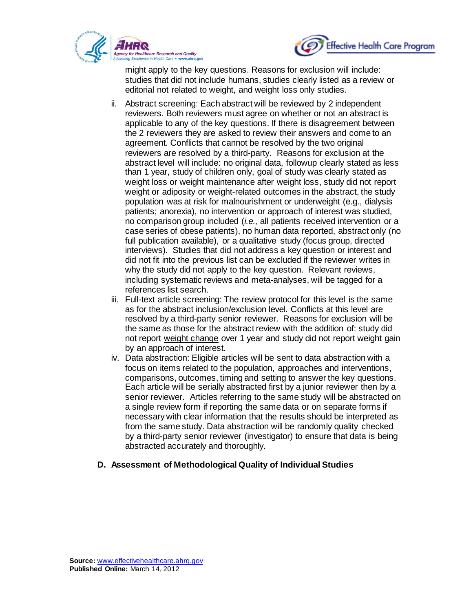



might apply to the key questions. Reasons for exclusion will include: studies that did not include humans, studies clearly listed as a review or editorial not related to weight, and weight loss only studies.

- ii. Abstract screening: Each abstract will be reviewed by 2 independent reviewers. Both reviewers must agree on whether or not an abstract is applicable to any of the key questions. If there is disagreement between the 2 reviewers they are asked to review their answers and come to an agreement. Conflicts that cannot be resolved by the two original reviewers are resolved by a third-party. Reasons for exclusion at the abstract level will include: no original data, followup clearly stated as less than 1 year, study of children only, goal of study was clearly stated as weight loss or weight maintenance after weight loss, study did not report weight or adiposity or weight-related outcomes in the abstract, the study population was at risk for malnourishment or underweight (e.g., dialysis patients; anorexia), no intervention or approach of interest was studied, no comparison group included (*i.e.,* all patients received intervention or a case series of obese patients), no human data reported, abstract only (no full publication available), or a qualitative study (focus group, directed interviews). Studies that did not address a key question or interest and did not fit into the previous list can be excluded if the reviewer writes in why the study did not apply to the key question. Relevant reviews, including systematic reviews and meta-analyses, will be tagged for a references list search.
- iii. Full-text article screening: The review protocol for this level is the same as for the abstract inclusion/exclusion level. Conflicts at this level are resolved by a third-party senior reviewer. Reasons for exclusion will be the same as those for the abstract review with the addition of: study did not report weight change over 1 year and study did not report weight gain by an approach of interest.
- iv. Data abstraction: Eligible articles will be sent to data abstraction with a focus on items related to the population, approaches and interventions, comparisons, outcomes, timing and setting to answer the key questions. Each article will be serially abstracted first by a junior reviewer then by a senior reviewer. Articles referring to the same study will be abstracted on a single review form if reporting the same data or on separate forms if necessary with clear information that the results should be interpreted as from the same study. Data abstraction will be randomly quality checked by a third-party senior reviewer (investigator) to ensure that data is being abstracted accurately and thoroughly.

### **D. Assessment of Methodological Quality of Individual Studies**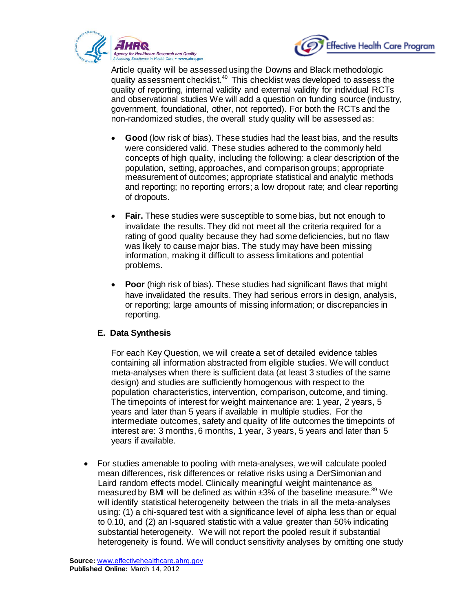



Article quality will be assessed using the Downs and Black methodologic quality assessment checklist.<sup>40</sup> This checklist was developed to assess the quality of reporting, internal validity and external validity for individual RCTs and observational studies We will add a question on funding source (industry, government, foundational, other, not reported). For both the RCTs and the non-randomized studies, the overall study quality will be assessed as:

- **Good** (low risk of bias). These studies had the least bias, and the results were considered valid. These studies adhered to the commonly held concepts of high quality, including the following: a clear description of the population, setting, approaches, and comparison groups; appropriate measurement of outcomes; appropriate statistical and analytic methods and reporting; no reporting errors; a low dropout rate; and clear reporting of dropouts.
- **Fair.** These studies were susceptible to some bias, but not enough to invalidate the results. They did not meet all the criteria required for a rating of good quality because they had some deficiencies, but no flaw was likely to cause major bias. The study may have been missing information, making it difficult to assess limitations and potential problems.
- **Poor** (high risk of bias). These studies had significant flaws that might have invalidated the results. They had serious errors in design, analysis, or reporting; large amounts of missing information; or discrepancies in reporting.

### **E. Data Synthesis**

For each Key Question, we will create a set of detailed evidence tables containing all information abstracted from eligible studies. We will conduct meta-analyses when there is sufficient data (at least 3 studies of the same design) and studies are sufficiently homogenous with respect to the population characteristics, intervention, comparison, outcome, and timing. The timepoints of interest for weight maintenance are: 1 year, 2 years, 5 years and later than 5 years if available in multiple studies. For the intermediate outcomes, safety and quality of life outcomes the timepoints of interest are: 3 months, 6 months, 1 year, 3 years, 5 years and later than 5 years if available.

• For studies amenable to pooling with meta-analyses, we will calculate pooled mean differences, risk differences or relative risks using a DerSimonian and Laird random effects model. Clinically meaningful weight maintenance as measured by BMI will be defined as within ±3% of the baseline measure.<sup>39</sup> We will identify statistical heterogeneity between the trials in all the meta-analyses using: (1) a chi-squared test with a significance level of alpha less than or equal to 0.10, and (2) an I-squared statistic with a value greater than 50% indicating substantial heterogeneity. We will not report the pooled result if substantial heterogeneity is found. We will conduct sensitivity analyses by omitting one study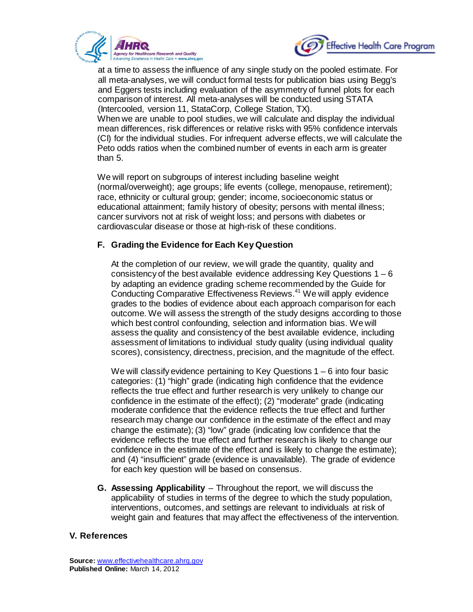



at a time to assess the influence of any single study on the pooled estimate. For all meta-analyses, we will conduct formal tests for publication bias using Begg's and Eggers tests including evaluation of the asymmetry of funnel plots for each comparison of interest. All meta-analyses will be conducted using STATA (Intercooled, version 11, StataCorp, College Station, TX). When we are unable to pool studies, we will calculate and display the individual mean differences, risk differences or relative risks with 95% confidence intervals (CI) for the individual studies. For infrequent adverse effects, we will calculate the Peto odds ratios when the combined number of events in each arm is greater than 5.

We will report on subgroups of interest including baseline weight (normal/overweight); age groups; life events (college, menopause, retirement); race, ethnicity or cultural group; gender; income, socioeconomic status or educational attainment; family history of obesity; persons with mental illness; cancer survivors not at risk of weight loss; and persons with diabetes or cardiovascular disease or those at high-risk of these conditions.

### **F. Grading the Evidence for Each Key Question**

At the completion of our review, we will grade the quantity, quality and consistency of the best available evidence addressing Key Questions  $1 - 6$ by adapting an evidence grading scheme recommended by the Guide for Conducting Comparative Effectiveness Reviews. <sup>41</sup> We will apply evidence grades to the bodies of evidence about each approach comparison for each outcome. We will assess the strength of the study designs according to those which best control confounding, selection and information bias. We will assess the quality and consistency of the best available evidence, including assessment of limitations to individual study quality (using individual quality scores), consistency, directness, precision, and the magnitude of the effect.

We will classify evidence pertaining to Key Questions  $1 - 6$  into four basic categories: (1) "high" grade (indicating high confidence that the evidence reflects the true effect and further research is very unlikely to change our confidence in the estimate of the effect); (2) "moderate" grade (indicating moderate confidence that the evidence reflects the true effect and further research may change our confidence in the estimate of the effect and may change the estimate); (3) "low" grade (indicating low confidence that the evidence reflects the true effect and further research is likely to change our confidence in the estimate of the effect and is likely to change the estimate); and (4) "insufficient" grade (evidence is unavailable). The grade of evidence for each key question will be based on consensus.

**G. Assessing Applicability** – Throughout the report, we will discuss the applicability of studies in terms of the degree to which the study population, interventions, outcomes, and settings are relevant to individuals at risk of weight gain and features that may affect the effectiveness of the intervention.

#### **V. References**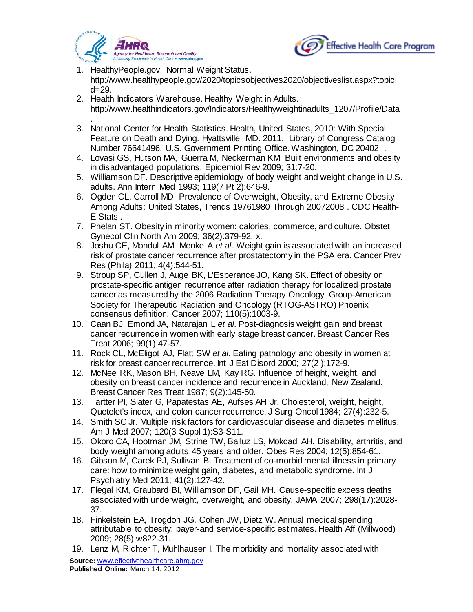



- 1. HealthyPeople.gov. Normal Weight Status. http://www.healthypeople.gov/2020/topicsobjectives2020/objectiveslist.aspx?topici d=29.
- 2. Health Indicators Warehouse. Healthy Weight in Adults. http://www.healthindicators.gov/Indicators/Healthyweightinadults\_1207/Profile/Data
- . 3. National Center for Health Statistics. Health, United States, 2010: With Special Feature on Death and Dying. Hyattsville, MD. 2011. Library of Congress Catalog Number 76641496. U.S. Government Printing Office. Washington, DC 20402 .
- 4. Lovasi GS, Hutson MA, Guerra M, Neckerman KM. Built environments and obesity in disadvantaged populations. Epidemiol Rev 2009; 31:7-20.
- 5. Williamson DF. Descriptive epidemiology of body weight and weight change in U.S. adults. Ann Intern Med 1993; 119(7 Pt 2):646-9.
- 6. Ogden CL, Carroll MD. Prevalence of Overweight, Obesity, and Extreme Obesity Among Adults: United States, Trends 19761980 Through 20072008 . CDC Health-E Stats .
- 7. Phelan ST. Obesity in minority women: calories, commerce, and culture. Obstet Gynecol Clin North Am 2009; 36(2):379-92, x.
- 8. Joshu CE, Mondul AM, Menke A *et al*. Weight gain is associated with an increased risk of prostate cancer recurrence after prostatectomy in the PSA era. Cancer Prev Res (Phila) 2011; 4(4):544-51.
- 9. Stroup SP, Cullen J, Auge BK, L'Esperance JO, Kang SK. Effect of obesity on prostate-specific antigen recurrence after radiation therapy for localized prostate cancer as measured by the 2006 Radiation Therapy Oncology Group-American Society for Therapeutic Radiation and Oncology (RTOG-ASTRO) Phoenix consensus definition. Cancer 2007; 110(5):1003-9.
- 10. Caan BJ, Emond JA, Natarajan L *et al*. Post-diagnosis weight gain and breast cancer recurrence in women with early stage breast cancer. Breast Cancer Res Treat 2006; 99(1):47-57.
- 11. Rock CL, McEligot AJ, Flatt SW *et al*. Eating pathology and obesity in women at risk for breast cancer recurrence. Int J Eat Disord 2000; 27(2 ):172-9.
- 12. McNee RK, Mason BH, Neave LM, Kay RG. Influence of height, weight, and obesity on breast cancer incidence and recurrence in Auckland, New Zealand. Breast Cancer Res Treat 1987; 9(2):145-50.
- 13. Tartter PI, Slater G, Papatestas AE, Aufses AH Jr. Cholesterol, weight, height, Quetelet's index, and colon cancer recurrence. J Surg Oncol 1984; 27(4):232-5.
- 14. Smith SC Jr. Multiple risk factors for cardiovascular disease and diabetes mellitus. Am J Med 2007; 120(3 Suppl 1):S3-S11.
- 15. Okoro CA, Hootman JM, Strine TW, Balluz LS, Mokdad AH. Disability, arthritis, and body weight among adults 45 years and older. Obes Res 2004; 12(5):854-61.
- 16. Gibson M, Carek PJ, Sullivan B. Treatment of co-morbid mental illness in primary care: how to minimize weight gain, diabetes, and metabolic syndrome. Int J Psychiatry Med 2011; 41(2):127-42.
- 17. Flegal KM, Graubard BI, Williamson DF, Gail MH. Cause-specific excess deaths associated with underweight, overweight, and obesity. JAMA 2007; 298(17):2028- 37.
- 18. Finkelstein EA, Trogdon JG, Cohen JW, Dietz W. Annual medical spending attributable to obesity: payer-and service-specific estimates. Health Aff (Millwood) 2009; 28(5):w822-31.
- 19. Lenz M, Richter T, Muhlhauser I. The morbidity and mortality associated with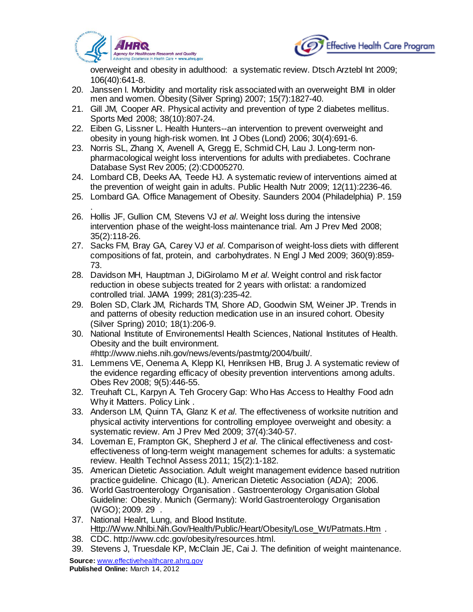



overweight and obesity in adulthood: a systematic review. Dtsch Arztebl Int 2009; 106(40):641-8.

- 20. Janssen I. Morbidity and mortality risk associated with an overweight BMI in older men and women. Obesity (Silver Spring) 2007; 15(7):1827-40.
- 21. Gill JM, Cooper AR. Physical activity and prevention of type 2 diabetes mellitus. Sports Med 2008; 38(10):807-24.
- 22. Eiben G, Lissner L. Health Hunters--an intervention to prevent overweight and obesity in young high-risk women. Int J Obes (Lond) 2006; 30(4):691-6.
- 23. Norris SL, Zhang X, Avenell A, Gregg E, Schmid CH, Lau J. Long-term nonpharmacological weight loss interventions for adults with prediabetes. Cochrane Database Syst Rev 2005; (2):CD005270.
- 24. Lombard CB, Deeks AA, Teede HJ. A systematic review of interventions aimed at the prevention of weight gain in adults. Public Health Nutr 2009; 12(11):2236-46.
- 25. Lombard GA. Office Management of Obesity. Saunders 2004 (Philadelphia) P. 159
- . 26. Hollis JF, Gullion CM, Stevens VJ *et al*. Weight loss during the intensive intervention phase of the weight-loss maintenance trial. Am J Prev Med 2008; 35(2):118-26.
- 27. Sacks FM, Bray GA, Carey VJ *et al*. Comparison of weight-loss diets with different compositions of fat, protein, and carbohydrates. N Engl J Med 2009; 360(9):859- 73.
- 28. Davidson MH, Hauptman J, DiGirolamo M *et al*. Weight control and risk factor reduction in obese subjects treated for 2 years with orlistat: a randomized controlled trial. JAMA 1999; 281(3):235-42.
- 29. Bolen SD, Clark JM, Richards TM, Shore AD, Goodwin SM, Weiner JP. Trends in and patterns of obesity reduction medication use in an insured cohort. Obesity (Silver Spring) 2010; 18(1):206-9.
- 30. National Institute of Environementsl Health Sciences, National Institutes of Health. Obesity and the built environment.

#http://www.niehs.nih.gov/news/events/pastmtg/2004/built/.

- 31. Lemmens VE, Oenema A, Klepp KI, Henriksen HB, Brug J. A systematic review of the evidence regarding efficacy of obesity prevention interventions among adults. Obes Rev 2008; 9(5):446-55.
- 32. Treuhaft CL, Karpyn A. Teh Grocery Gap: Who Has Access to Healthy Food adn Why it Matters. Policy Link .
- 33. Anderson LM, Quinn TA, Glanz K *et al*. The effectiveness of worksite nutrition and physical activity interventions for controlling employee overweight and obesity: a systematic review. Am J Prev Med 2009; 37(4):340-57.
- 34. Loveman E, Frampton GK, Shepherd J *et al*. The clinical effectiveness and costeffectiveness of long-term weight management schemes for adults: a systematic review. Health Technol Assess 2011; 15(2):1-182.
- 35. American Dietetic Association. Adult weight management evidence based nutrition practice guideline. Chicago (IL). American Dietetic Association (ADA); 2006.
- 36. World Gastroenterology Organisation . Gastroenterology Organisation Global Guideline: Obesity. Munich (Germany): World Gastroenterology Organisation (WGO); 2009. 29 .
- 37. National Healrt, Lung, and Blood Institute. Http://Www.Nhlbi.Nih.Gov/Health/Public/Heart/Obesity/Lose\_Wt/Patmats.Htm .
- 38. CDC. http://www.cdc.gov/obesity/resources.html.
- 39. Stevens J, Truesdale KP, McClain JE, Cai J. The definition of weight maintenance.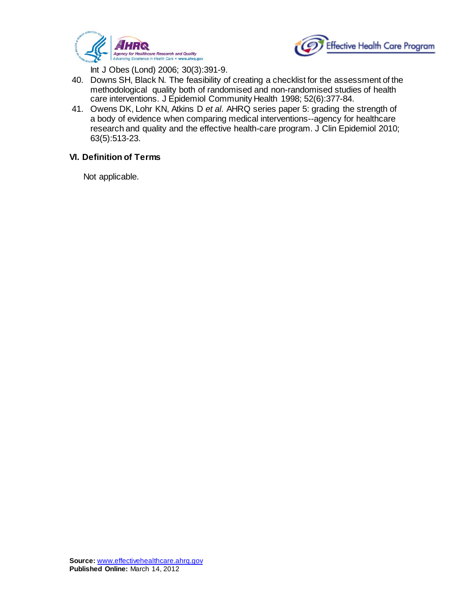



Int J Obes (Lond) 2006; 30(3):391-9.

- 40. Downs SH, Black N. The feasibility of creating a checklist for the assessment of the methodological quality both of randomised and non-randomised studies of health care interventions. J Epidemiol Community Health 1998; 52(6):377-84.
- 41. Owens DK, Lohr KN, Atkins D *et al*. AHRQ series paper 5: grading the strength of a body of evidence when comparing medical interventions--agency for healthcare research and quality and the effective health-care program. J Clin Epidemiol 2010; 63(5):513-23.

#### **VI. Definition of Terms**

Not applicable.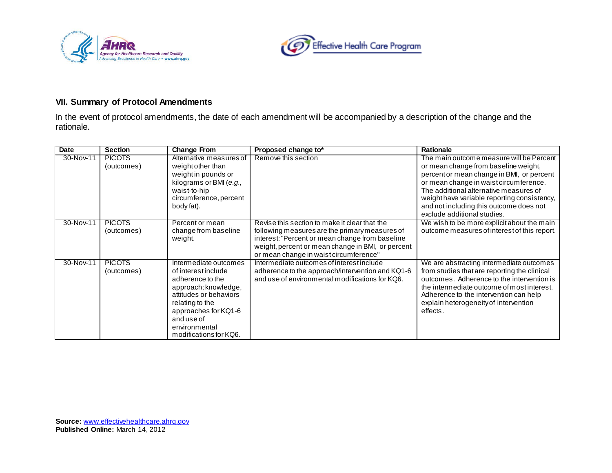



## **VII. Summary of Protocol Amendments**

In the event of protocol amendments, the date of each amendment will be accompanied by a description of the change and the rationale.

| <b>Date</b> | <b>Section</b>              | <b>Change From</b>                                                                                                                                                                                                     | Proposed change to*                                                                                                                                                                                                                               | <b>Rationale</b>                                                                                                                                                                                                                                                                                                                           |
|-------------|-----------------------------|------------------------------------------------------------------------------------------------------------------------------------------------------------------------------------------------------------------------|---------------------------------------------------------------------------------------------------------------------------------------------------------------------------------------------------------------------------------------------------|--------------------------------------------------------------------------------------------------------------------------------------------------------------------------------------------------------------------------------------------------------------------------------------------------------------------------------------------|
| 30-Nov-11   | <b>PICOTS</b><br>(outcomes) | Alternative measures of<br>weight other than<br>weight in pounds or<br>kilograms or BMI (e.g.,<br>waist-to-hip<br>circumference, percent<br>body fat).                                                                 | Remove this section                                                                                                                                                                                                                               | The main outcome measure will be Percent<br>or mean change from baseline weight,<br>percent or mean change in BMI, or percent<br>or mean change in waist circumference.<br>The additional alternative measures of<br>weight have variable reporting consistency,<br>and not including this outcome does not<br>exclude additional studies. |
| 30-Nov-11   | <b>PICOTS</b><br>(outcomes) | Percent or mean<br>change from baseline<br>weight.                                                                                                                                                                     | Revise this section to make it clear that the<br>following measures are the primary measures of<br>interest: "Percent or mean change from baseline<br>weight, percent or mean change in BMI, or percent<br>or mean change in waist circumference" | We wish to be more explicit about the main<br>outcome measures of interest of this report.                                                                                                                                                                                                                                                 |
| 30-Nov-11   | <b>PICOTS</b><br>(outcomes) | Intermediate outcomes<br>of interest include<br>adherence to the<br>approach; knowledge,<br>attitudes or behaviors<br>relating to the<br>approaches for KQ1-6<br>and use of<br>environmental<br>modifications for KQ6. | Intermediate outcomes of interest include<br>adherence to the approach/intervention and KQ1-6<br>and use of environmental modifications for KQ6.                                                                                                  | We are abstracting intermediate outcomes<br>from studies that are reporting the clinical<br>outcomes. Adherence to the intervention is<br>the intermediate outcome of most interest.<br>Adherence to the intervention can help<br>explain heterogeneity of intervention<br>effects.                                                        |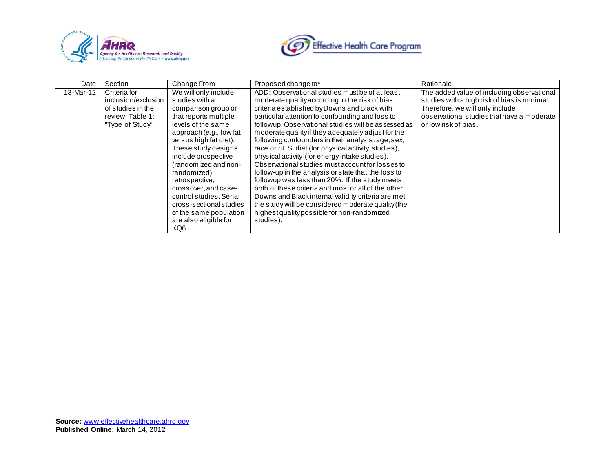



| Date      | Section                                                                                         | Change From                                                                                                                                                                                                                                                                                                                                                                                                        | Proposed change to*                                                                                                                                                                                                                                                                                                                                                                                                                                                                                                                                                                                                                                                                                                                                                                                                                                                         | Rationale                                                                                                                                                                                           |
|-----------|-------------------------------------------------------------------------------------------------|--------------------------------------------------------------------------------------------------------------------------------------------------------------------------------------------------------------------------------------------------------------------------------------------------------------------------------------------------------------------------------------------------------------------|-----------------------------------------------------------------------------------------------------------------------------------------------------------------------------------------------------------------------------------------------------------------------------------------------------------------------------------------------------------------------------------------------------------------------------------------------------------------------------------------------------------------------------------------------------------------------------------------------------------------------------------------------------------------------------------------------------------------------------------------------------------------------------------------------------------------------------------------------------------------------------|-----------------------------------------------------------------------------------------------------------------------------------------------------------------------------------------------------|
| 13-Mar-12 | Criteria for<br>inclusion/exclusion<br>of studies in the<br>review. Table 1:<br>"Type of Study" | We will only include<br>studies with a<br>comparison group or<br>that reports multiple<br>levels of the same<br>approach (e.g., low fat<br>versus high fat diet).<br>These study designs<br>include prospective<br>(randomized and non-<br>randomized),<br>retrospective,<br>crossover, and case-<br>control studies. Serial<br>cross-sectional studies<br>of the same population<br>are also eligible for<br>KQ6. | ADD: Observational studies must be of at least<br>moderate quality according to the risk of bias<br>criteria established by Downs and Black with<br>particular attention to confounding and loss to<br>followup. Observational studies will be assessed as<br>moderate quality if they adequately adjust for the<br>following confounders in their analysis: age, sex,<br>race or SES, diet (for physical activity studies),<br>physical activity (for energy intake studies).<br>Observational studies must account for losses to<br>follow-up in the analysis or state that the loss to<br>followup was less than 20%. If the study meets<br>both of these criteria and most or all of the other<br>Downs and Black internal validity criteria are met,<br>the study will be considered moderate quality (the<br>highest quality possible for non-randomized<br>studies). | The added value of including observational<br>studies with a high risk of bias is minimal.<br>Therefore, we will only include<br>observational studies that have a moderate<br>or low risk of bias. |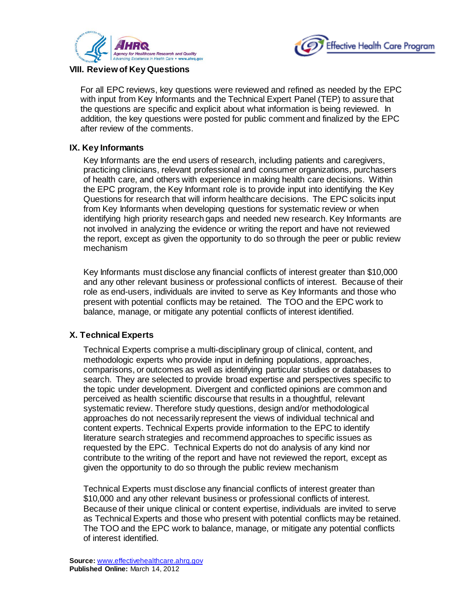



#### **VIII. Review of Key Questions**

For all EPC reviews, key questions were reviewed and refined as needed by the EPC with input from Key Informants and the Technical Expert Panel (TEP) to assure that the questions are specific and explicit about what information is being reviewed. In addition, the key questions were posted for public comment and finalized by the EPC after review of the comments.

#### **IX. Key Informants**

Key Informants are the end users of research, including patients and caregivers, practicing clinicians, relevant professional and consumer organizations, purchasers of health care, and others with experience in making health care decisions. Within the EPC program, the Key Informant role is to provide input into identifying the Key Questions for research that will inform healthcare decisions. The EPC solicits input from Key Informants when developing questions for systematic review or when identifying high priority research gaps and needed new research. Key Informants are not involved in analyzing the evidence or writing the report and have not reviewed the report, except as given the opportunity to do so through the peer or public review mechanism

Key Informants must disclose any financial conflicts of interest greater than \$10,000 and any other relevant business or professional conflicts of interest. Because of their role as end-users, individuals are invited to serve as Key Informants and those who present with potential conflicts may be retained. The TOO and the EPC work to balance, manage, or mitigate any potential conflicts of interest identified.

### **X. Technical Experts**

Technical Experts comprise a multi-disciplinary group of clinical, content, and methodologic experts who provide input in defining populations, approaches, comparisons, or outcomes as well as identifying particular studies or databases to search. They are selected to provide broad expertise and perspectives specific to the topic under development. Divergent and conflicted opinions are common and perceived as health scientific discourse that results in a thoughtful, relevant systematic review. Therefore study questions, design and/or methodological approaches do not necessarily represent the views of individual technical and content experts. Technical Experts provide information to the EPC to identify literature search strategies and recommend approaches to specific issues as requested by the EPC. Technical Experts do not do analysis of any kind nor contribute to the writing of the report and have not reviewed the report, except as given the opportunity to do so through the public review mechanism

Technical Experts must disclose any financial conflicts of interest greater than \$10,000 and any other relevant business or professional conflicts of interest. Because of their unique clinical or content expertise, individuals are invited to serve as Technical Experts and those who present with potential conflicts may be retained. The TOO and the EPC work to balance, manage, or mitigate any potential conflicts of interest identified.